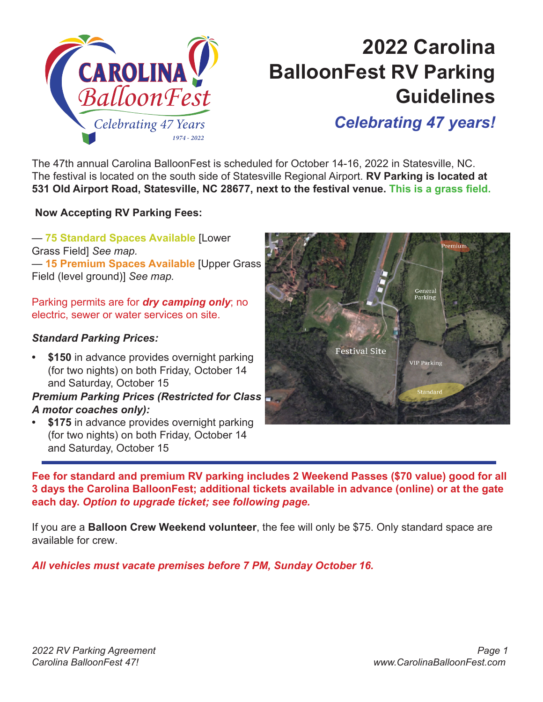

## **2022 Carolina BalloonFest RV Parking Guidelines**

### *Celebrating 47 years!*

The 47th annual Carolina BalloonFest is scheduled for October 14-16, 2022 in Statesville, NC. The festival is located on the south side of Statesville Regional Airport. **RV Parking is located at 531 Old Airport Road, Statesville, NC 28677, next to the festival venue. This is a grass field.**

**Now Accepting RV Parking Fees:**

— **75 Standard Spaces Available** [Lower Grass Field] *See map.* — **15 Premium Spaces Available** [Upper Grass Field (level ground)] *See map.* 

Parking permits are for *dry camping only*; no electric, sewer or water services on site.

#### *Standard Parking Prices:*

**• \$150** in advance provides overnight parking (for two nights) on both Friday, October 14 and Saturday, October 15

*Premium Parking Prices (Restricted for Class A motor coaches only):* 

**• \$175** in advance provides overnight parking (for two nights) on both Friday, October 14 and Saturday, October 15



**Fee for standard and premium RV parking includes 2 Weekend Passes (\$70 value) good for all 3 days the Carolina BalloonFest; additional tickets available in advance (online) or at the gate each day.** *Option to upgrade ticket; see following page.* 

If you are a **Balloon Crew Weekend volunteer**, the fee will only be \$75. Only standard space are available for crew.

*All vehicles must vacate premises before 7 PM, Sunday October 16.*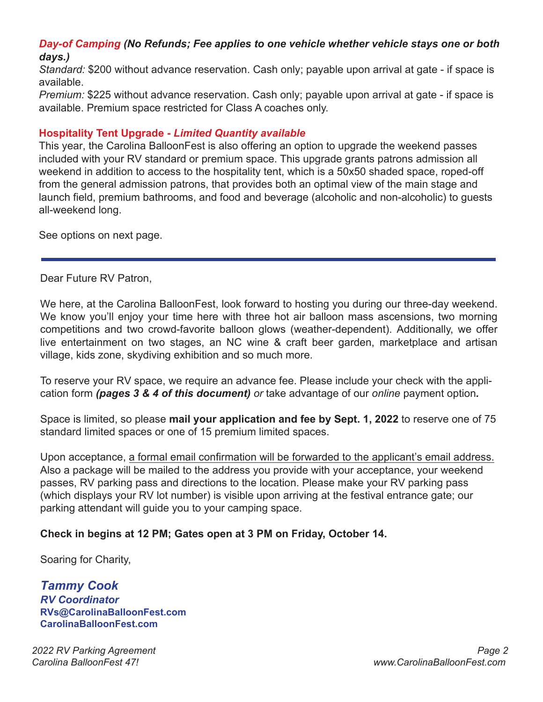#### *Day-of Camping (No Refunds; Fee applies to one vehicle whether vehicle stays one or both days.)*

*Standard:* \$200 without advance reservation. Cash only; payable upon arrival at gate - if space is available.

*Premium:* \$225 without advance reservation. Cash only; payable upon arrival at gate - if space is available. Premium space restricted for Class A coaches only.

#### **Hospitality Tent Upgrade -** *Limited Quantity available*

This year, the Carolina BalloonFest is also offering an option to upgrade the weekend passes included with your RV standard or premium space. This upgrade grants patrons admission all weekend in addition to access to the hospitality tent, which is a 50x50 shaded space, roped-off from the general admission patrons, that provides both an optimal view of the main stage and launch field, premium bathrooms, and food and beverage (alcoholic and non-alcoholic) to guests all-weekend long.

See options on next page.

Dear Future RV Patron,

We here, at the Carolina BalloonFest, look forward to hosting you during our three-day weekend. We know you'll enjoy your time here with three hot air balloon mass ascensions, two morning competitions and two crowd-favorite balloon glows (weather-dependent). Additionally, we offer live entertainment on two stages, an NC wine & craft beer garden, marketplace and artisan village, kids zone, skydiving exhibition and so much more.

To reserve your RV space, we require an advance fee. Please include your check with the application form *(pages 3 & 4 of this document) or* take advantage of our *online* payment option*.*

Space is limited, so please **mail your application and fee by Sept. 1, 2022** to reserve one of 75 standard limited spaces or one of 15 premium limited spaces.

Upon acceptance, a formal email confirmation will be forwarded to the applicant's email address. Also a package will be mailed to the address you provide with your acceptance, your weekend passes, RV parking pass and directions to the location. Please make your RV parking pass (which displays your RV lot number) is visible upon arriving at the festival entrance gate; our parking attendant will guide you to your camping space.

#### **Check in begins at 12 PM; Gates open at 3 PM on Friday, October 14.**

Soaring for Charity,

*Tammy Cook RV Coordinator* **RVs@CarolinaBalloonFest.com CarolinaBalloonFest.com**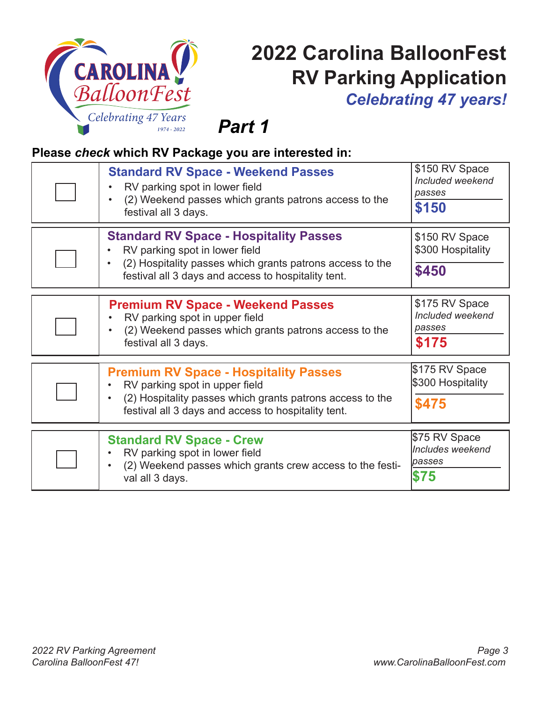

# **2022 Carolina BalloonFest RV Parking Application**

*Celebrating 47 years!*

*Part 1*

#### **Please** *check* **which RV Package you are interested in:**

| <b>Standard RV Space - Weekend Passes</b><br>RV parking spot in lower field<br>(2) Weekend passes which grants patrons access to the<br>festival all 3 days.                                        | \$150 RV Space<br>Included weekend<br>passes<br>\$150 |
|-----------------------------------------------------------------------------------------------------------------------------------------------------------------------------------------------------|-------------------------------------------------------|
| <b>Standard RV Space - Hospitality Passes</b><br>RV parking spot in lower field<br>(2) Hospitality passes which grants patrons access to the<br>festival all 3 days and access to hospitality tent. | \$150 RV Space<br>\$300 Hospitality<br>\$450          |
| <b>Premium RV Space - Weekend Passes</b><br>RV parking spot in upper field<br>(2) Weekend passes which grants patrons access to the<br>festival all 3 days.                                         | \$175 RV Space<br>Included weekend<br>passes<br>\$175 |
| <b>Premium RV Space - Hospitality Passes</b><br>RV parking spot in upper field<br>(2) Hospitality passes which grants patrons access to the<br>festival all 3 days and access to hospitality tent.  | \$175 RV Space<br>\$300 Hospitality<br>\$475          |
| <b>Standard RV Space - Crew</b><br>RV parking spot in lower field<br>(2) Weekend passes which grants crew access to the festi-<br>val all 3 days.                                                   | \$75 RV Space<br>Includes weekend<br>passes<br>\$75   |